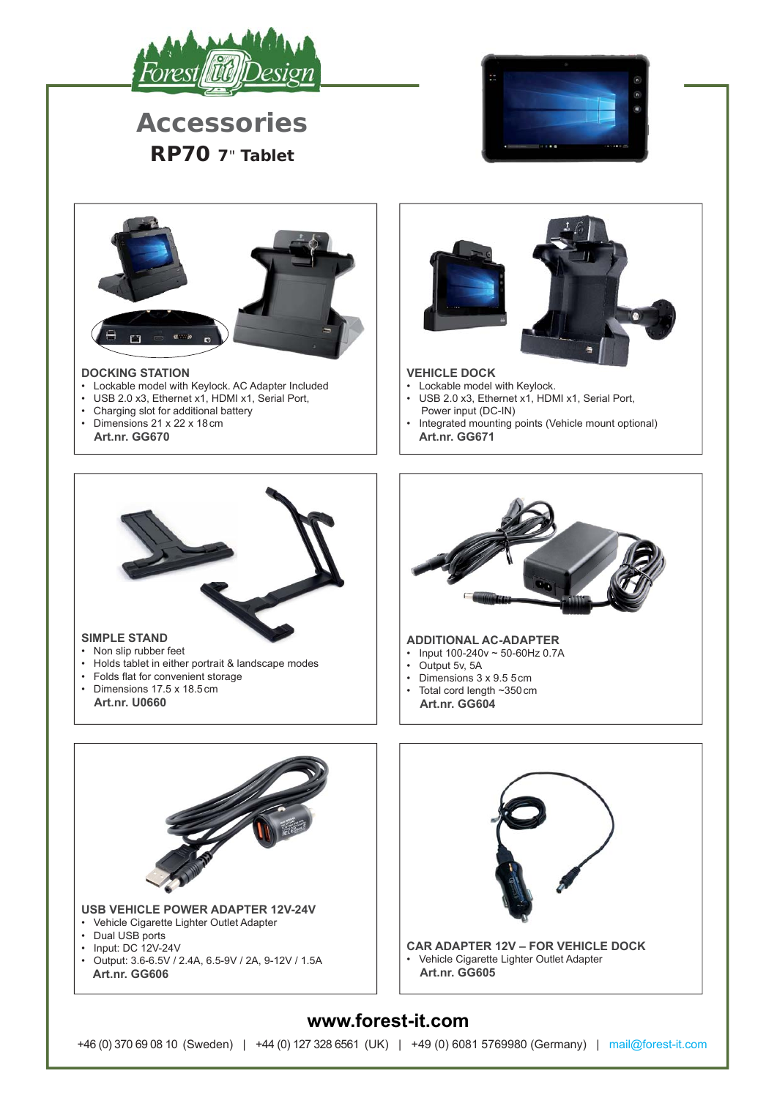

# **Accessories RP70 7**" **Tablet**





#### **DOCKING STATION**

- Lockable model with Keylock. AC Adapter Included
- USB 2.0 x3, Ethernet x1, HDMI x1, Serial Port,<br>• Charging slot for additional battery
- Charging slot for additional battery
- Dimensions 21 x 22 x 18 cm
	- **Art.nr. GG670**



### **VEHICLE DOCK**

- Lockable model with Keylock. • USB 2.0 x3, Ethernet x1, HDMI x1, Serial Port,
- Power input (DC-IN)
- Integrated mounting points (Vehicle mount optional) **Art.nr. GG671**



#### **SIMPLE STAND**

- Non slip rubber feet
- Holds tablet in either portrait & landscape modes
- Folds flat for convenient storage
- Dimensions 17.5 x 18.5 cm  **Art.nr. U0660**



#### **ADDITIONAL AC-ADAPTER**

- Input 100-240v ~ 50-60Hz 0.7A
- Output 5v, 5A
- Dimensions 3 x 9.5 5 cm
- Total cord length ~350 cm
- **Art.nr. GG604**



## **www.forest-it.com**

+46 (0) 370 69 08 10 (Sweden) | +44 (0) 127 328 6561 (UK) | +49 (0) 6081 5769980 (Germany) | mail@forest-it.com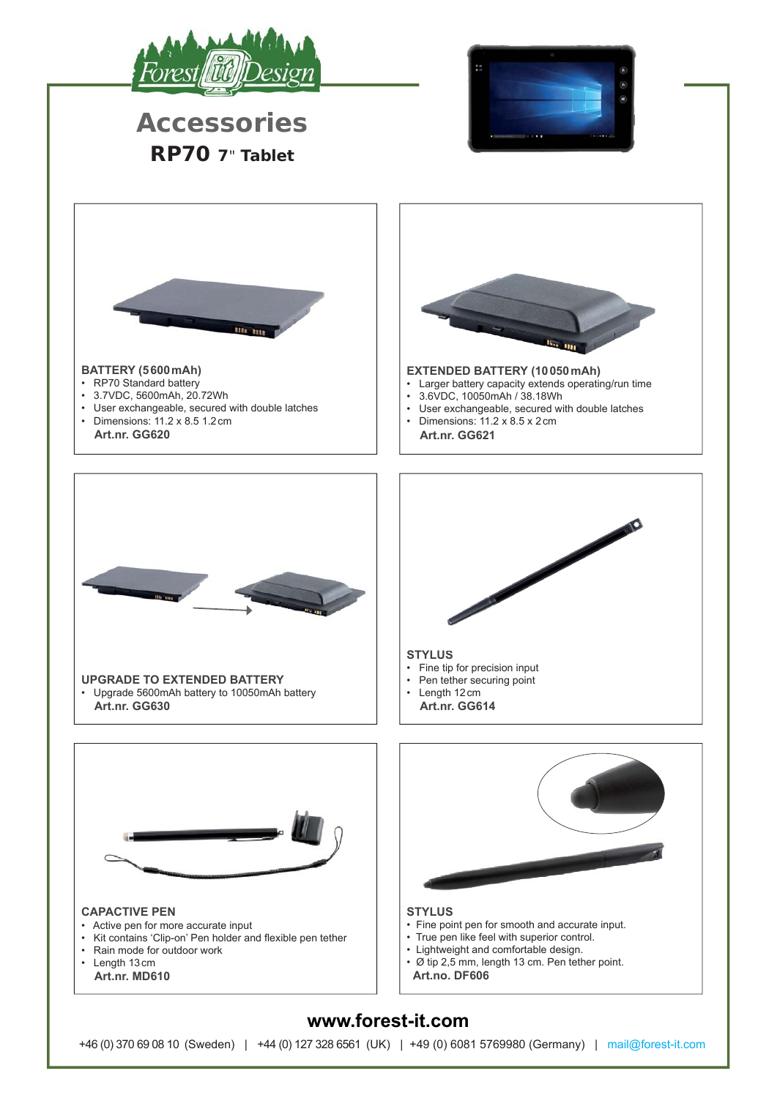

+46 (0) 370 69 08 10 (Sweden) | +44 (0) 127 328 6561 (UK) | +49 (0) 6081 5769980 (Germany) | mail@forest-it.com